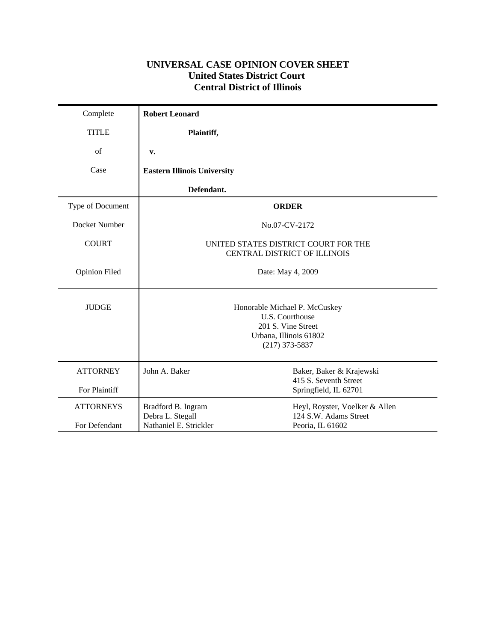# **UNIVERSAL CASE OPINION COVER SHEET United States District Court Central District of Illinois**

| Complete                          | <b>Robert Leonard</b>                                                                                                |                                                                             |
|-----------------------------------|----------------------------------------------------------------------------------------------------------------------|-----------------------------------------------------------------------------|
| <b>TITLE</b>                      | Plaintiff,                                                                                                           |                                                                             |
| of                                | v.                                                                                                                   |                                                                             |
| Case                              | <b>Eastern Illinois University</b>                                                                                   |                                                                             |
|                                   | Defendant.                                                                                                           |                                                                             |
| Type of Document                  |                                                                                                                      | <b>ORDER</b>                                                                |
| Docket Number                     |                                                                                                                      | No.07-CV-2172                                                               |
| <b>COURT</b>                      |                                                                                                                      | UNITED STATES DISTRICT COURT FOR THE<br>CENTRAL DISTRICT OF ILLINOIS        |
| <b>Opinion Filed</b>              | Date: May 4, 2009                                                                                                    |                                                                             |
| <b>JUDGE</b>                      | Honorable Michael P. McCuskey<br>U.S. Courthouse<br>201 S. Vine Street<br>Urbana, Illinois 61802<br>$(217)$ 373-5837 |                                                                             |
| <b>ATTORNEY</b><br>For Plaintiff  | John A. Baker                                                                                                        | Baker, Baker & Krajewski<br>415 S. Seventh Street<br>Springfield, IL 62701  |
| <b>ATTORNEYS</b><br>For Defendant | Bradford B. Ingram<br>Debra L. Stegall<br>Nathaniel E. Strickler                                                     | Heyl, Royster, Voelker & Allen<br>124 S.W. Adams Street<br>Peoria, IL 61602 |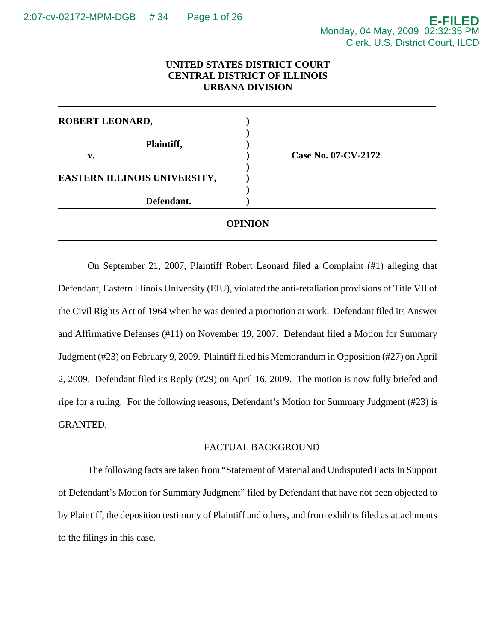## **UNITED STATES DISTRICT COURT CENTRAL DISTRICT OF ILLINOIS URBANA DIVISION**

| Defendant.                   |                            |  |
|------------------------------|----------------------------|--|
|                              |                            |  |
| EASTERN ILLINOIS UNIVERSITY, |                            |  |
| Plaintiff,<br>v.             | <b>Case No. 07-CV-2172</b> |  |
|                              |                            |  |
| ROBERT LEONARD,              |                            |  |

On September 21, 2007, Plaintiff Robert Leonard filed a Complaint (#1) alleging that Defendant, Eastern Illinois University (EIU), violated the anti-retaliation provisions of Title VII of the Civil Rights Act of 1964 when he was denied a promotion at work. Defendant filed its Answer and Affirmative Defenses (#11) on November 19, 2007. Defendant filed a Motion for Summary Judgment (#23) on February 9, 2009. Plaintiff filed his Memorandum in Opposition (#27) on April 2, 2009. Defendant filed its Reply (#29) on April 16, 2009. The motion is now fully briefed and ripe for a ruling. For the following reasons, Defendant's Motion for Summary Judgment (#23) is GRANTED.

#### FACTUAL BACKGROUND

The following facts are taken from "Statement of Material and Undisputed Facts In Support of Defendant's Motion for Summary Judgment" filed by Defendant that have not been objected to by Plaintiff, the deposition testimony of Plaintiff and others, and from exhibits filed as attachments to the filings in this case.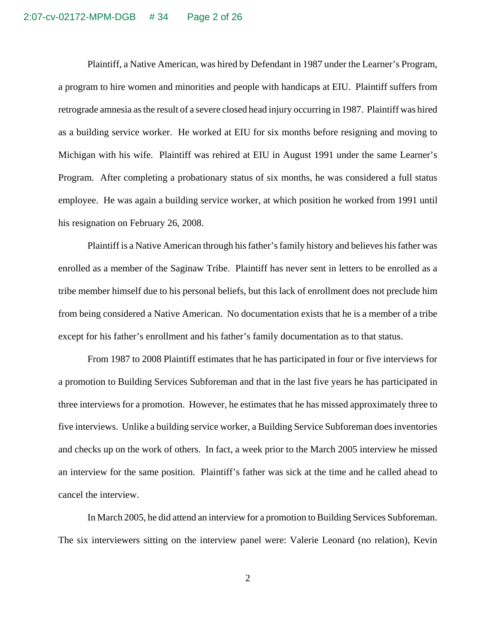Plaintiff, a Native American, was hired by Defendant in 1987 under the Learner's Program, a program to hire women and minorities and people with handicaps at EIU. Plaintiff suffers from retrograde amnesia as the result of a severe closed head injury occurring in 1987. Plaintiff was hired as a building service worker. He worked at EIU for six months before resigning and moving to Michigan with his wife. Plaintiff was rehired at EIU in August 1991 under the same Learner's Program. After completing a probationary status of six months, he was considered a full status employee. He was again a building service worker, at which position he worked from 1991 until his resignation on February 26, 2008.

Plaintiff is a Native American through his father's family history and believes his father was enrolled as a member of the Saginaw Tribe. Plaintiff has never sent in letters to be enrolled as a tribe member himself due to his personal beliefs, but this lack of enrollment does not preclude him from being considered a Native American. No documentation exists that he is a member of a tribe except for his father's enrollment and his father's family documentation as to that status.

From 1987 to 2008 Plaintiff estimates that he has participated in four or five interviews for a promotion to Building Services Subforeman and that in the last five years he has participated in three interviews for a promotion. However, he estimates that he has missed approximately three to five interviews. Unlike a building service worker, a Building Service Subforeman does inventories and checks up on the work of others. In fact, a week prior to the March 2005 interview he missed an interview for the same position. Plaintiff's father was sick at the time and he called ahead to cancel the interview.

In March 2005, he did attend an interview for a promotion to Building Services Subforeman. The six interviewers sitting on the interview panel were: Valerie Leonard (no relation), Kevin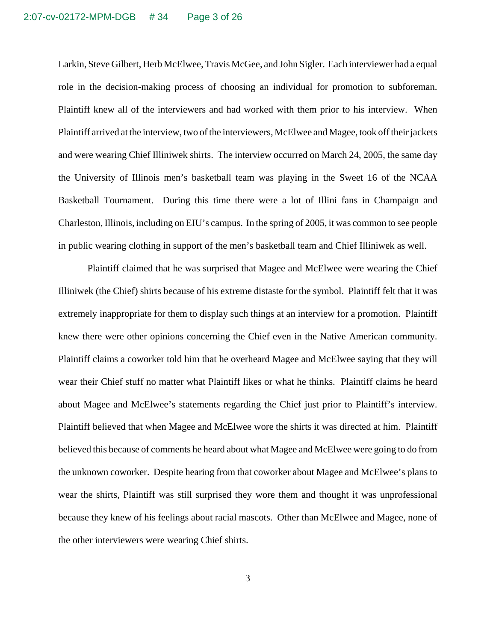Larkin, Steve Gilbert, Herb McElwee, Travis McGee, and John Sigler. Each interviewer had a equal role in the decision-making process of choosing an individual for promotion to subforeman. Plaintiff knew all of the interviewers and had worked with them prior to his interview. When Plaintiff arrived at the interview, two of the interviewers, McElwee and Magee, took off their jackets and were wearing Chief Illiniwek shirts. The interview occurred on March 24, 2005, the same day the University of Illinois men's basketball team was playing in the Sweet 16 of the NCAA Basketball Tournament. During this time there were a lot of Illini fans in Champaign and Charleston, Illinois, including on EIU's campus. In the spring of 2005, it was common to see people in public wearing clothing in support of the men's basketball team and Chief Illiniwek as well.

Plaintiff claimed that he was surprised that Magee and McElwee were wearing the Chief Illiniwek (the Chief) shirts because of his extreme distaste for the symbol. Plaintiff felt that it was extremely inappropriate for them to display such things at an interview for a promotion. Plaintiff knew there were other opinions concerning the Chief even in the Native American community. Plaintiff claims a coworker told him that he overheard Magee and McElwee saying that they will wear their Chief stuff no matter what Plaintiff likes or what he thinks. Plaintiff claims he heard about Magee and McElwee's statements regarding the Chief just prior to Plaintiff's interview. Plaintiff believed that when Magee and McElwee wore the shirts it was directed at him. Plaintiff believed this because of comments he heard about what Magee and McElwee were going to do from the unknown coworker. Despite hearing from that coworker about Magee and McElwee's plans to wear the shirts, Plaintiff was still surprised they wore them and thought it was unprofessional because they knew of his feelings about racial mascots. Other than McElwee and Magee, none of the other interviewers were wearing Chief shirts.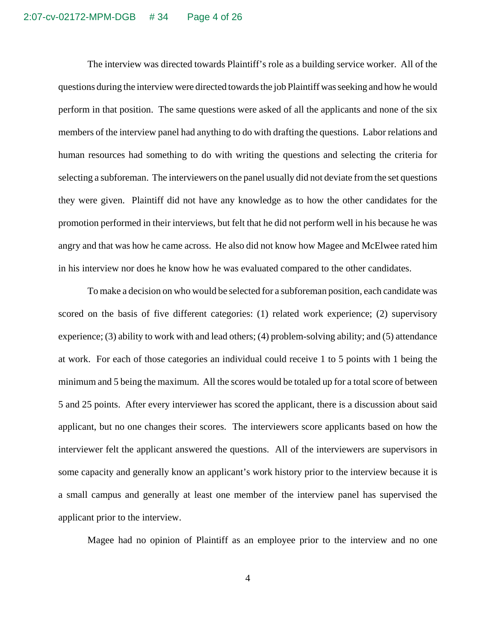The interview was directed towards Plaintiff's role as a building service worker. All of the questions during the interview were directed towards the job Plaintiff was seeking and how he would perform in that position. The same questions were asked of all the applicants and none of the six members of the interview panel had anything to do with drafting the questions. Labor relations and human resources had something to do with writing the questions and selecting the criteria for selecting a subforeman. The interviewers on the panel usually did not deviate from the set questions they were given. Plaintiff did not have any knowledge as to how the other candidates for the promotion performed in their interviews, but felt that he did not perform well in his because he was angry and that was how he came across. He also did not know how Magee and McElwee rated him in his interview nor does he know how he was evaluated compared to the other candidates.

To make a decision on who would be selected for a subforeman position, each candidate was scored on the basis of five different categories: (1) related work experience; (2) supervisory experience; (3) ability to work with and lead others; (4) problem-solving ability; and (5) attendance at work. For each of those categories an individual could receive 1 to 5 points with 1 being the minimum and 5 being the maximum. All the scores would be totaled up for a total score of between 5 and 25 points. After every interviewer has scored the applicant, there is a discussion about said applicant, but no one changes their scores. The interviewers score applicants based on how the interviewer felt the applicant answered the questions. All of the interviewers are supervisors in some capacity and generally know an applicant's work history prior to the interview because it is a small campus and generally at least one member of the interview panel has supervised the applicant prior to the interview.

Magee had no opinion of Plaintiff as an employee prior to the interview and no one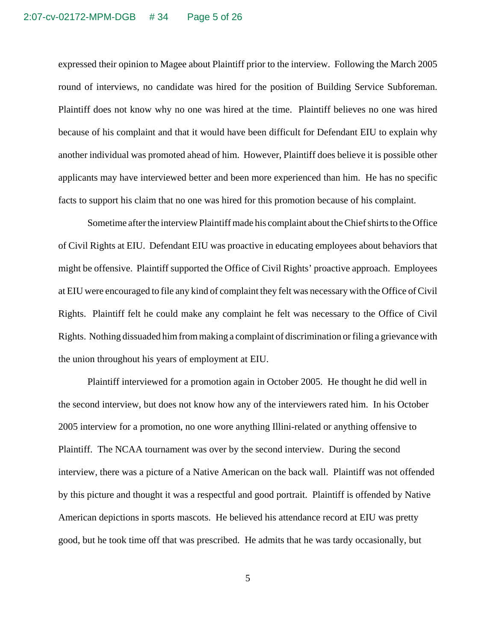expressed their opinion to Magee about Plaintiff prior to the interview. Following the March 2005 round of interviews, no candidate was hired for the position of Building Service Subforeman. Plaintiff does not know why no one was hired at the time. Plaintiff believes no one was hired because of his complaint and that it would have been difficult for Defendant EIU to explain why another individual was promoted ahead of him. However, Plaintiff does believe it is possible other applicants may have interviewed better and been more experienced than him. He has no specific facts to support his claim that no one was hired for this promotion because of his complaint.

Sometime after the interview Plaintiff made his complaint about the Chief shirts to the Office of Civil Rights at EIU. Defendant EIU was proactive in educating employees about behaviors that might be offensive. Plaintiff supported the Office of Civil Rights' proactive approach. Employees at EIU were encouraged to file any kind of complaint they felt was necessary with the Office of Civil Rights. Plaintiff felt he could make any complaint he felt was necessary to the Office of Civil Rights. Nothing dissuaded him from making a complaint of discrimination or filing a grievance with the union throughout his years of employment at EIU.

Plaintiff interviewed for a promotion again in October 2005. He thought he did well in the second interview, but does not know how any of the interviewers rated him. In his October 2005 interview for a promotion, no one wore anything Illini-related or anything offensive to Plaintiff. The NCAA tournament was over by the second interview. During the second interview, there was a picture of a Native American on the back wall. Plaintiff was not offended by this picture and thought it was a respectful and good portrait. Plaintiff is offended by Native American depictions in sports mascots. He believed his attendance record at EIU was pretty good, but he took time off that was prescribed. He admits that he was tardy occasionally, but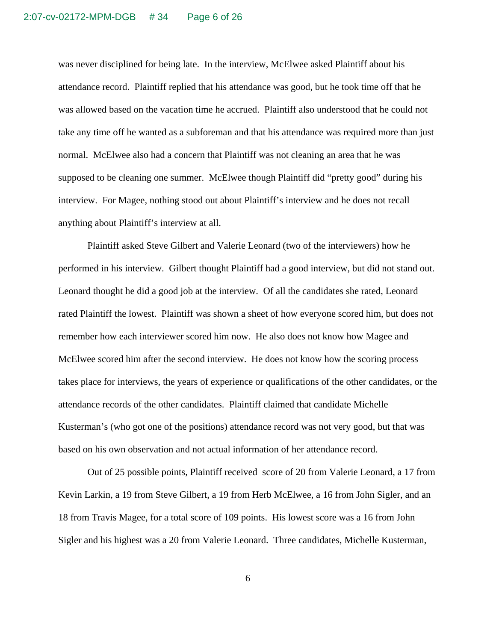was never disciplined for being late. In the interview, McElwee asked Plaintiff about his attendance record. Plaintiff replied that his attendance was good, but he took time off that he was allowed based on the vacation time he accrued. Plaintiff also understood that he could not take any time off he wanted as a subforeman and that his attendance was required more than just normal. McElwee also had a concern that Plaintiff was not cleaning an area that he was supposed to be cleaning one summer. McElwee though Plaintiff did "pretty good" during his interview. For Magee, nothing stood out about Plaintiff's interview and he does not recall anything about Plaintiff's interview at all.

Plaintiff asked Steve Gilbert and Valerie Leonard (two of the interviewers) how he performed in his interview. Gilbert thought Plaintiff had a good interview, but did not stand out. Leonard thought he did a good job at the interview. Of all the candidates she rated, Leonard rated Plaintiff the lowest. Plaintiff was shown a sheet of how everyone scored him, but does not remember how each interviewer scored him now. He also does not know how Magee and McElwee scored him after the second interview. He does not know how the scoring process takes place for interviews, the years of experience or qualifications of the other candidates, or the attendance records of the other candidates. Plaintiff claimed that candidate Michelle Kusterman's (who got one of the positions) attendance record was not very good, but that was based on his own observation and not actual information of her attendance record.

Out of 25 possible points, Plaintiff received score of 20 from Valerie Leonard, a 17 from Kevin Larkin, a 19 from Steve Gilbert, a 19 from Herb McElwee, a 16 from John Sigler, and an 18 from Travis Magee, for a total score of 109 points. His lowest score was a 16 from John Sigler and his highest was a 20 from Valerie Leonard. Three candidates, Michelle Kusterman,

6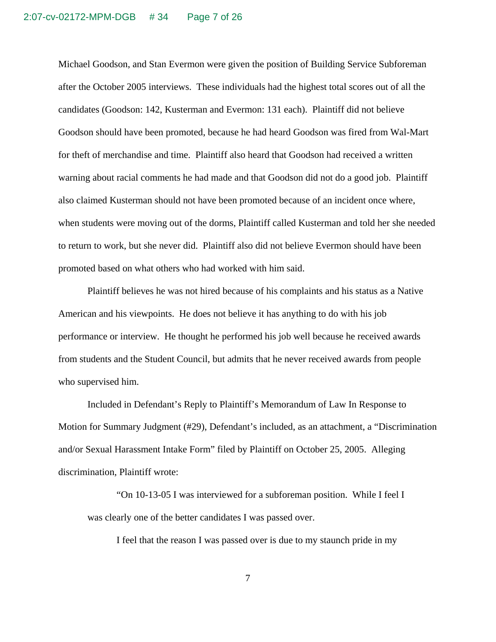Michael Goodson, and Stan Evermon were given the position of Building Service Subforeman after the October 2005 interviews. These individuals had the highest total scores out of all the candidates (Goodson: 142, Kusterman and Evermon: 131 each). Plaintiff did not believe Goodson should have been promoted, because he had heard Goodson was fired from Wal-Mart for theft of merchandise and time. Plaintiff also heard that Goodson had received a written warning about racial comments he had made and that Goodson did not do a good job. Plaintiff also claimed Kusterman should not have been promoted because of an incident once where, when students were moving out of the dorms, Plaintiff called Kusterman and told her she needed to return to work, but she never did. Plaintiff also did not believe Evermon should have been promoted based on what others who had worked with him said.

Plaintiff believes he was not hired because of his complaints and his status as a Native American and his viewpoints. He does not believe it has anything to do with his job performance or interview. He thought he performed his job well because he received awards from students and the Student Council, but admits that he never received awards from people who supervised him.

Included in Defendant's Reply to Plaintiff's Memorandum of Law In Response to Motion for Summary Judgment (#29), Defendant's included, as an attachment, a "Discrimination and/or Sexual Harassment Intake Form" filed by Plaintiff on October 25, 2005. Alleging discrimination, Plaintiff wrote:

"On 10-13-05 I was interviewed for a subforeman position. While I feel I was clearly one of the better candidates I was passed over.

I feel that the reason I was passed over is due to my staunch pride in my

7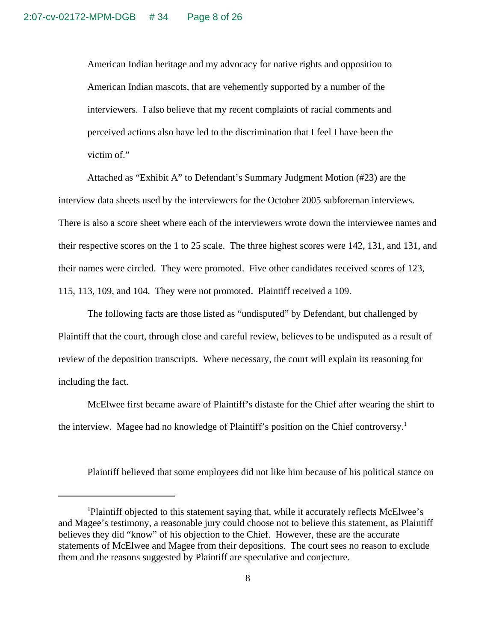American Indian heritage and my advocacy for native rights and opposition to American Indian mascots, that are vehemently supported by a number of the interviewers. I also believe that my recent complaints of racial comments and perceived actions also have led to the discrimination that I feel I have been the victim of."

Attached as "Exhibit A" to Defendant's Summary Judgment Motion (#23) are the interview data sheets used by the interviewers for the October 2005 subforeman interviews. There is also a score sheet where each of the interviewers wrote down the interviewee names and their respective scores on the 1 to 25 scale. The three highest scores were 142, 131, and 131, and their names were circled. They were promoted. Five other candidates received scores of 123, 115, 113, 109, and 104. They were not promoted. Plaintiff received a 109.

The following facts are those listed as "undisputed" by Defendant, but challenged by Plaintiff that the court, through close and careful review, believes to be undisputed as a result of review of the deposition transcripts. Where necessary, the court will explain its reasoning for including the fact.

McElwee first became aware of Plaintiff's distaste for the Chief after wearing the shirt to the interview. Magee had no knowledge of Plaintiff's position on the Chief controversy.<sup>1</sup>

Plaintiff believed that some employees did not like him because of his political stance on

<sup>&</sup>lt;sup>1</sup>Plaintiff objected to this statement saying that, while it accurately reflects McElwee's and Magee's testimony, a reasonable jury could choose not to believe this statement, as Plaintiff believes they did "know" of his objection to the Chief. However, these are the accurate statements of McElwee and Magee from their depositions. The court sees no reason to exclude them and the reasons suggested by Plaintiff are speculative and conjecture.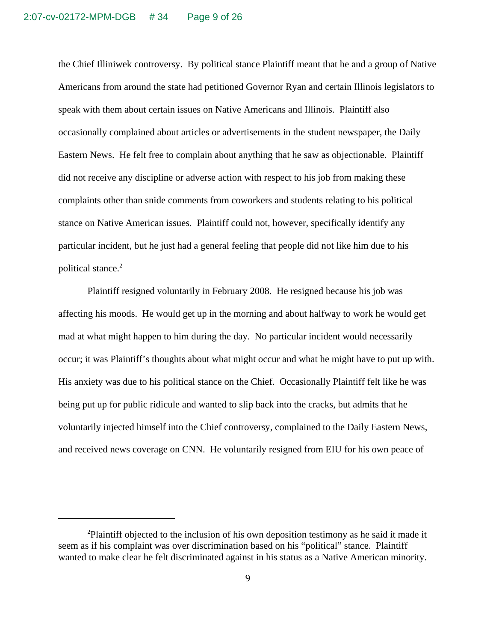the Chief Illiniwek controversy. By political stance Plaintiff meant that he and a group of Native Americans from around the state had petitioned Governor Ryan and certain Illinois legislators to speak with them about certain issues on Native Americans and Illinois. Plaintiff also occasionally complained about articles or advertisements in the student newspaper, the Daily Eastern News. He felt free to complain about anything that he saw as objectionable. Plaintiff did not receive any discipline or adverse action with respect to his job from making these complaints other than snide comments from coworkers and students relating to his political stance on Native American issues. Plaintiff could not, however, specifically identify any particular incident, but he just had a general feeling that people did not like him due to his political stance.<sup>2</sup>

Plaintiff resigned voluntarily in February 2008. He resigned because his job was affecting his moods. He would get up in the morning and about halfway to work he would get mad at what might happen to him during the day. No particular incident would necessarily occur; it was Plaintiff's thoughts about what might occur and what he might have to put up with. His anxiety was due to his political stance on the Chief. Occasionally Plaintiff felt like he was being put up for public ridicule and wanted to slip back into the cracks, but admits that he voluntarily injected himself into the Chief controversy, complained to the Daily Eastern News, and received news coverage on CNN. He voluntarily resigned from EIU for his own peace of

<sup>&</sup>lt;sup>2</sup>Plaintiff objected to the inclusion of his own deposition testimony as he said it made it seem as if his complaint was over discrimination based on his "political" stance. Plaintiff wanted to make clear he felt discriminated against in his status as a Native American minority.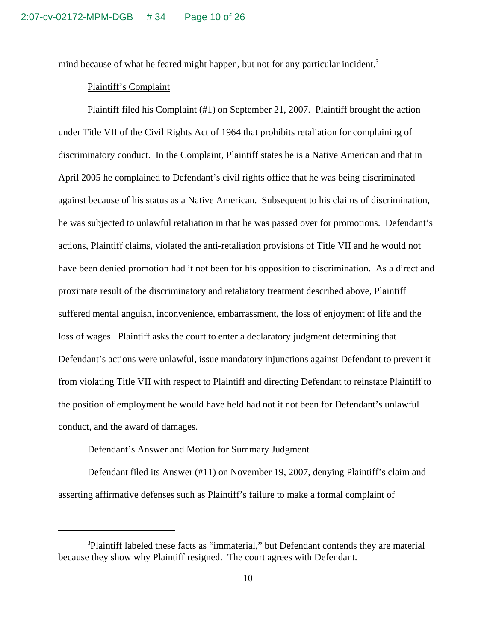mind because of what he feared might happen, but not for any particular incident.<sup>3</sup>

### Plaintiff's Complaint

Plaintiff filed his Complaint (#1) on September 21, 2007. Plaintiff brought the action under Title VII of the Civil Rights Act of 1964 that prohibits retaliation for complaining of discriminatory conduct. In the Complaint, Plaintiff states he is a Native American and that in April 2005 he complained to Defendant's civil rights office that he was being discriminated against because of his status as a Native American. Subsequent to his claims of discrimination, he was subjected to unlawful retaliation in that he was passed over for promotions. Defendant's actions, Plaintiff claims, violated the anti-retaliation provisions of Title VII and he would not have been denied promotion had it not been for his opposition to discrimination. As a direct and proximate result of the discriminatory and retaliatory treatment described above, Plaintiff suffered mental anguish, inconvenience, embarrassment, the loss of enjoyment of life and the loss of wages. Plaintiff asks the court to enter a declaratory judgment determining that Defendant's actions were unlawful, issue mandatory injunctions against Defendant to prevent it from violating Title VII with respect to Plaintiff and directing Defendant to reinstate Plaintiff to the position of employment he would have held had not it not been for Defendant's unlawful conduct, and the award of damages.

### Defendant's Answer and Motion for Summary Judgment

Defendant filed its Answer (#11) on November 19, 2007, denying Plaintiff's claim and asserting affirmative defenses such as Plaintiff's failure to make a formal complaint of

<sup>&</sup>lt;sup>3</sup>Plaintiff labeled these facts as "immaterial," but Defendant contends they are material because they show why Plaintiff resigned. The court agrees with Defendant.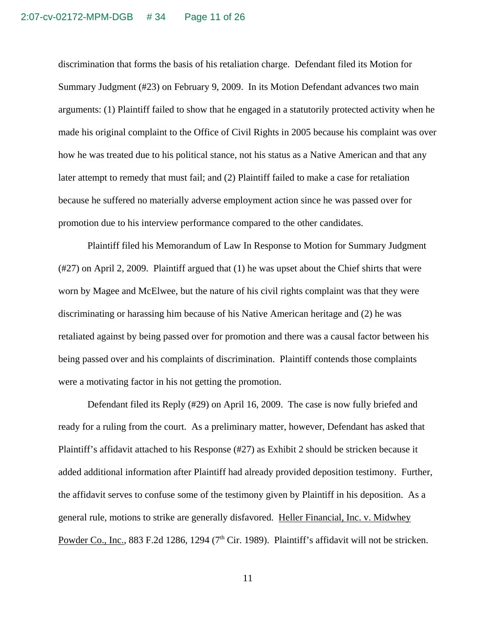discrimination that forms the basis of his retaliation charge. Defendant filed its Motion for Summary Judgment (#23) on February 9, 2009. In its Motion Defendant advances two main arguments: (1) Plaintiff failed to show that he engaged in a statutorily protected activity when he made his original complaint to the Office of Civil Rights in 2005 because his complaint was over how he was treated due to his political stance, not his status as a Native American and that any later attempt to remedy that must fail; and (2) Plaintiff failed to make a case for retaliation because he suffered no materially adverse employment action since he was passed over for promotion due to his interview performance compared to the other candidates.

Plaintiff filed his Memorandum of Law In Response to Motion for Summary Judgment (#27) on April 2, 2009. Plaintiff argued that (1) he was upset about the Chief shirts that were worn by Magee and McElwee, but the nature of his civil rights complaint was that they were discriminating or harassing him because of his Native American heritage and (2) he was retaliated against by being passed over for promotion and there was a causal factor between his being passed over and his complaints of discrimination. Plaintiff contends those complaints were a motivating factor in his not getting the promotion.

Defendant filed its Reply (#29) on April 16, 2009. The case is now fully briefed and ready for a ruling from the court. As a preliminary matter, however, Defendant has asked that Plaintiff's affidavit attached to his Response (#27) as Exhibit 2 should be stricken because it added additional information after Plaintiff had already provided deposition testimony. Further, the affidavit serves to confuse some of the testimony given by Plaintiff in his deposition. As a general rule, motions to strike are generally disfavored. Heller Financial, Inc. v. Midwhey Powder Co., Inc., 883 F.2d 1286, 1294 (7<sup>th</sup> Cir. 1989). Plaintiff's affidavit will not be stricken.

11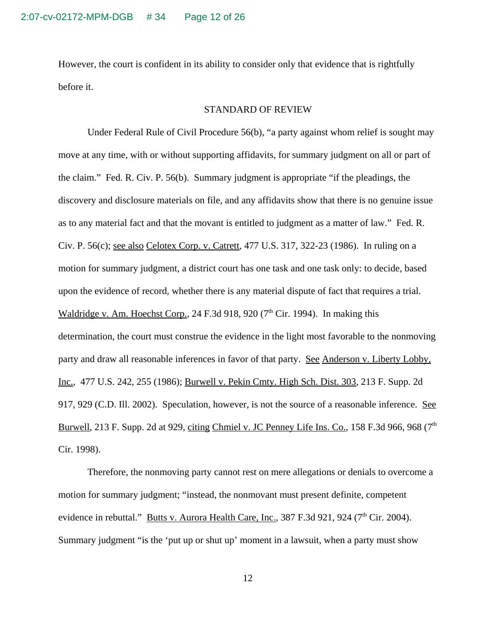However, the court is confident in its ability to consider only that evidence that is rightfully before it.

#### STANDARD OF REVIEW

Under Federal Rule of Civil Procedure 56(b), "a party against whom relief is sought may move at any time, with or without supporting affidavits, for summary judgment on all or part of the claim." Fed. R. Civ. P. 56(b). Summary judgment is appropriate "if the pleadings, the discovery and disclosure materials on file, and any affidavits show that there is no genuine issue as to any material fact and that the movant is entitled to judgment as a matter of law." Fed. R. Civ. P. 56(c); see also Celotex Corp. v. Catrett, 477 U.S. 317, 322-23 (1986). In ruling on a motion for summary judgment, a district court has one task and one task only: to decide, based upon the evidence of record, whether there is any material dispute of fact that requires a trial. Waldridge v. Am. Hoechst Corp., 24 F.3d 918, 920 ( $7<sup>th</sup>$  Cir. 1994). In making this determination, the court must construe the evidence in the light most favorable to the nonmoving party and draw all reasonable inferences in favor of that party. See Anderson v. Liberty Lobby, Inc., 477 U.S. 242, 255 (1986); Burwell v. Pekin Cmty. High Sch. Dist. 303, 213 F. Supp. 2d 917, 929 (C.D. Ill. 2002). Speculation, however, is not the source of a reasonable inference. See Burwell, 213 F. Supp. 2d at 929, citing Chmiel v. JC Penney Life Ins. Co., 158 F.3d 966, 968 ( $7<sup>th</sup>$ Cir. 1998).

Therefore, the nonmoving party cannot rest on mere allegations or denials to overcome a motion for summary judgment; "instead, the nonmovant must present definite, competent evidence in rebuttal." Butts v. Aurora Health Care, Inc., 387 F.3d 921, 924 (7<sup>th</sup> Cir. 2004). Summary judgment "is the 'put up or shut up' moment in a lawsuit, when a party must show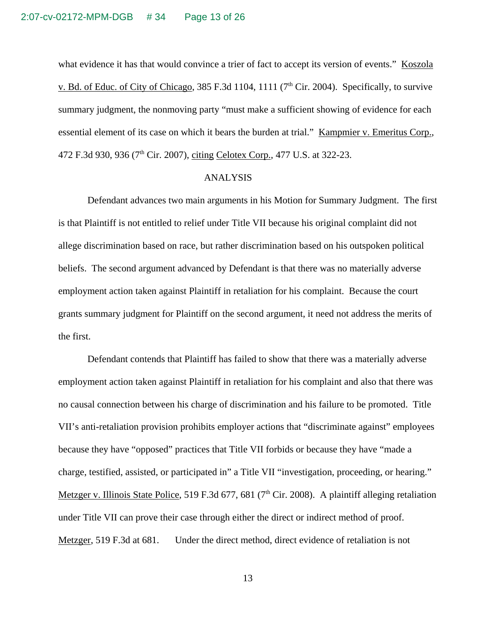what evidence it has that would convince a trier of fact to accept its version of events." Koszola v. Bd. of Educ. of City of Chicago, 385 F.3d 1104, 1111 (7<sup>th</sup> Cir. 2004). Specifically, to survive summary judgment, the nonmoving party "must make a sufficient showing of evidence for each essential element of its case on which it bears the burden at trial." Kampmier v. Emeritus Corp., 472 F.3d 930, 936 (7<sup>th</sup> Cir. 2007), citing Celotex Corp., 477 U.S. at 322-23.

#### ANALYSIS

Defendant advances two main arguments in his Motion for Summary Judgment. The first is that Plaintiff is not entitled to relief under Title VII because his original complaint did not allege discrimination based on race, but rather discrimination based on his outspoken political beliefs. The second argument advanced by Defendant is that there was no materially adverse employment action taken against Plaintiff in retaliation for his complaint. Because the court grants summary judgment for Plaintiff on the second argument, it need not address the merits of the first.

Defendant contends that Plaintiff has failed to show that there was a materially adverse employment action taken against Plaintiff in retaliation for his complaint and also that there was no causal connection between his charge of discrimination and his failure to be promoted. Title VII's anti-retaliation provision prohibits employer actions that "discriminate against" employees because they have "opposed" practices that Title VII forbids or because they have "made a charge, testified, assisted, or participated in" a Title VII "investigation, proceeding, or hearing." Metzger v. Illinois State Police, 519 F.3d 677, 681 (7<sup>th</sup> Cir. 2008). A plaintiff alleging retaliation under Title VII can prove their case through either the direct or indirect method of proof. Metzger, 519 F.3d at 681. Under the direct method, direct evidence of retaliation is not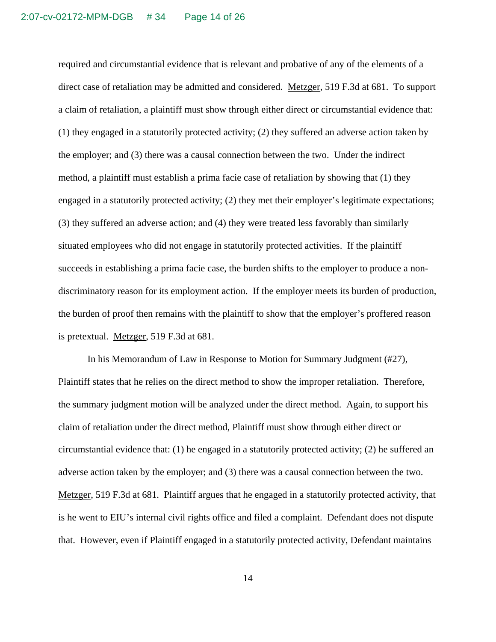required and circumstantial evidence that is relevant and probative of any of the elements of a direct case of retaliation may be admitted and considered. Metzger, 519 F.3d at 681. To support a claim of retaliation, a plaintiff must show through either direct or circumstantial evidence that: (1) they engaged in a statutorily protected activity; (2) they suffered an adverse action taken by the employer; and (3) there was a causal connection between the two. Under the indirect method, a plaintiff must establish a prima facie case of retaliation by showing that (1) they engaged in a statutorily protected activity; (2) they met their employer's legitimate expectations; (3) they suffered an adverse action; and (4) they were treated less favorably than similarly situated employees who did not engage in statutorily protected activities. If the plaintiff succeeds in establishing a prima facie case, the burden shifts to the employer to produce a nondiscriminatory reason for its employment action. If the employer meets its burden of production, the burden of proof then remains with the plaintiff to show that the employer's proffered reason is pretextual. Metzger, 519 F.3d at 681.

In his Memorandum of Law in Response to Motion for Summary Judgment (#27), Plaintiff states that he relies on the direct method to show the improper retaliation. Therefore, the summary judgment motion will be analyzed under the direct method. Again, to support his claim of retaliation under the direct method, Plaintiff must show through either direct or circumstantial evidence that: (1) he engaged in a statutorily protected activity; (2) he suffered an adverse action taken by the employer; and (3) there was a causal connection between the two. Metzger, 519 F.3d at 681. Plaintiff argues that he engaged in a statutorily protected activity, that is he went to EIU's internal civil rights office and filed a complaint. Defendant does not dispute that. However, even if Plaintiff engaged in a statutorily protected activity, Defendant maintains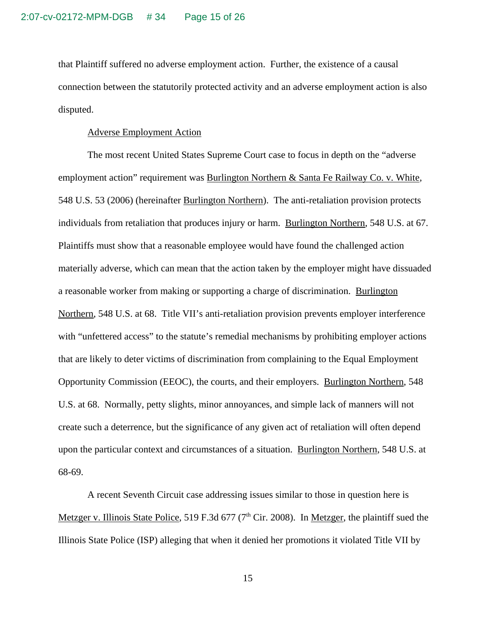that Plaintiff suffered no adverse employment action. Further, the existence of a causal connection between the statutorily protected activity and an adverse employment action is also disputed.

#### Adverse Employment Action

The most recent United States Supreme Court case to focus in depth on the "adverse employment action" requirement was Burlington Northern & Santa Fe Railway Co. v. White, 548 U.S. 53 (2006) (hereinafter Burlington Northern). The anti-retaliation provision protects individuals from retaliation that produces injury or harm. Burlington Northern, 548 U.S. at 67. Plaintiffs must show that a reasonable employee would have found the challenged action materially adverse, which can mean that the action taken by the employer might have dissuaded a reasonable worker from making or supporting a charge of discrimination. Burlington Northern, 548 U.S. at 68. Title VII's anti-retaliation provision prevents employer interference with "unfettered access" to the statute's remedial mechanisms by prohibiting employer actions that are likely to deter victims of discrimination from complaining to the Equal Employment Opportunity Commission (EEOC), the courts, and their employers. Burlington Northern, 548 U.S. at 68. Normally, petty slights, minor annoyances, and simple lack of manners will not create such a deterrence, but the significance of any given act of retaliation will often depend upon the particular context and circumstances of a situation. Burlington Northern, 548 U.S. at 68-69.

A recent Seventh Circuit case addressing issues similar to those in question here is Metzger v. Illinois State Police, 519 F.3d 677 ( $7<sup>th</sup>$  Cir. 2008). In Metzger, the plaintiff sued the Illinois State Police (ISP) alleging that when it denied her promotions it violated Title VII by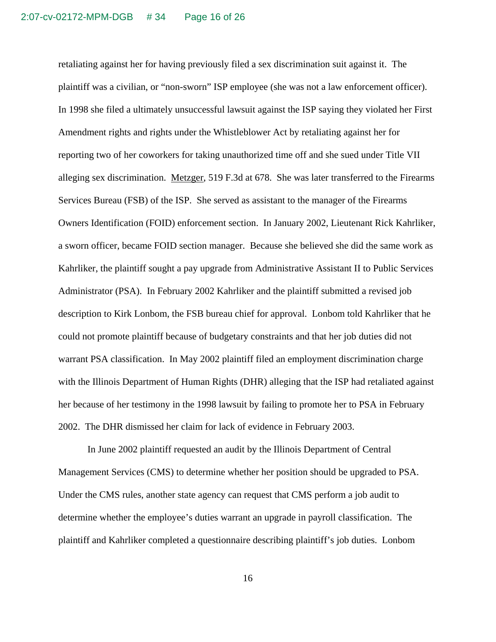retaliating against her for having previously filed a sex discrimination suit against it. The plaintiff was a civilian, or "non-sworn" ISP employee (she was not a law enforcement officer). In 1998 she filed a ultimately unsuccessful lawsuit against the ISP saying they violated her First Amendment rights and rights under the Whistleblower Act by retaliating against her for reporting two of her coworkers for taking unauthorized time off and she sued under Title VII alleging sex discrimination. Metzger, 519 F.3d at 678. She was later transferred to the Firearms Services Bureau (FSB) of the ISP. She served as assistant to the manager of the Firearms Owners Identification (FOID) enforcement section. In January 2002, Lieutenant Rick Kahrliker, a sworn officer, became FOID section manager. Because she believed she did the same work as Kahrliker, the plaintiff sought a pay upgrade from Administrative Assistant II to Public Services Administrator (PSA). In February 2002 Kahrliker and the plaintiff submitted a revised job description to Kirk Lonbom, the FSB bureau chief for approval. Lonbom told Kahrliker that he could not promote plaintiff because of budgetary constraints and that her job duties did not warrant PSA classification. In May 2002 plaintiff filed an employment discrimination charge with the Illinois Department of Human Rights (DHR) alleging that the ISP had retaliated against her because of her testimony in the 1998 lawsuit by failing to promote her to PSA in February 2002. The DHR dismissed her claim for lack of evidence in February 2003.

In June 2002 plaintiff requested an audit by the Illinois Department of Central Management Services (CMS) to determine whether her position should be upgraded to PSA. Under the CMS rules, another state agency can request that CMS perform a job audit to determine whether the employee's duties warrant an upgrade in payroll classification. The plaintiff and Kahrliker completed a questionnaire describing plaintiff's job duties. Lonbom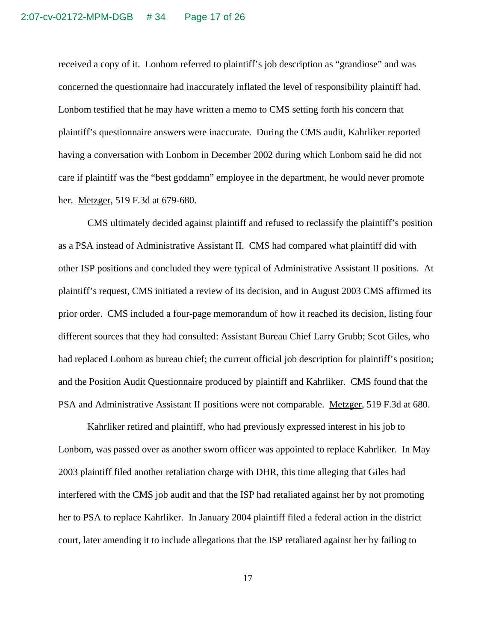received a copy of it. Lonbom referred to plaintiff's job description as "grandiose" and was concerned the questionnaire had inaccurately inflated the level of responsibility plaintiff had. Lonbom testified that he may have written a memo to CMS setting forth his concern that plaintiff's questionnaire answers were inaccurate. During the CMS audit, Kahrliker reported having a conversation with Lonbom in December 2002 during which Lonbom said he did not care if plaintiff was the "best goddamn" employee in the department, he would never promote her. Metzger, 519 F.3d at 679-680.

CMS ultimately decided against plaintiff and refused to reclassify the plaintiff's position as a PSA instead of Administrative Assistant II. CMS had compared what plaintiff did with other ISP positions and concluded they were typical of Administrative Assistant II positions. At plaintiff's request, CMS initiated a review of its decision, and in August 2003 CMS affirmed its prior order. CMS included a four-page memorandum of how it reached its decision, listing four different sources that they had consulted: Assistant Bureau Chief Larry Grubb; Scot Giles, who had replaced Lonbom as bureau chief; the current official job description for plaintiff's position; and the Position Audit Questionnaire produced by plaintiff and Kahrliker. CMS found that the PSA and Administrative Assistant II positions were not comparable. Metzger, 519 F.3d at 680.

Kahrliker retired and plaintiff, who had previously expressed interest in his job to Lonbom, was passed over as another sworn officer was appointed to replace Kahrliker. In May 2003 plaintiff filed another retaliation charge with DHR, this time alleging that Giles had interfered with the CMS job audit and that the ISP had retaliated against her by not promoting her to PSA to replace Kahrliker. In January 2004 plaintiff filed a federal action in the district court, later amending it to include allegations that the ISP retaliated against her by failing to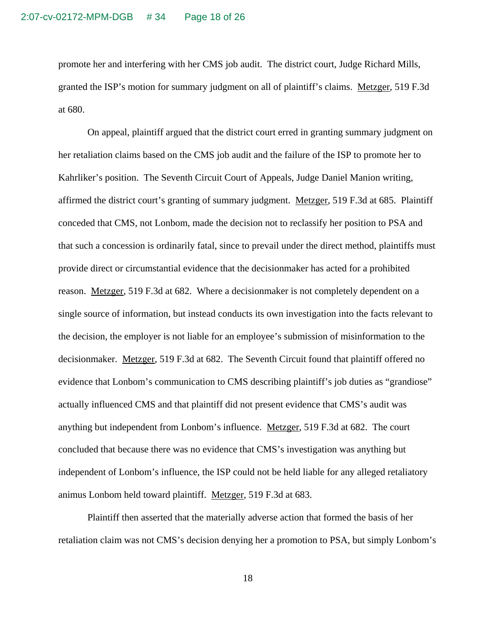promote her and interfering with her CMS job audit. The district court, Judge Richard Mills, granted the ISP's motion for summary judgment on all of plaintiff's claims. Metzger, 519 F.3d at 680.

On appeal, plaintiff argued that the district court erred in granting summary judgment on her retaliation claims based on the CMS job audit and the failure of the ISP to promote her to Kahrliker's position. The Seventh Circuit Court of Appeals, Judge Daniel Manion writing, affirmed the district court's granting of summary judgment. Metzger, 519 F.3d at 685. Plaintiff conceded that CMS, not Lonbom, made the decision not to reclassify her position to PSA and that such a concession is ordinarily fatal, since to prevail under the direct method, plaintiffs must provide direct or circumstantial evidence that the decisionmaker has acted for a prohibited reason. Metzger, 519 F.3d at 682. Where a decisionmaker is not completely dependent on a single source of information, but instead conducts its own investigation into the facts relevant to the decision, the employer is not liable for an employee's submission of misinformation to the decisionmaker. Metzger, 519 F.3d at 682. The Seventh Circuit found that plaintiff offered no evidence that Lonbom's communication to CMS describing plaintiff's job duties as "grandiose" actually influenced CMS and that plaintiff did not present evidence that CMS's audit was anything but independent from Lonbom's influence. Metzger, 519 F.3d at 682. The court concluded that because there was no evidence that CMS's investigation was anything but independent of Lonbom's influence, the ISP could not be held liable for any alleged retaliatory animus Lonbom held toward plaintiff. Metzger, 519 F.3d at 683.

Plaintiff then asserted that the materially adverse action that formed the basis of her retaliation claim was not CMS's decision denying her a promotion to PSA, but simply Lonbom's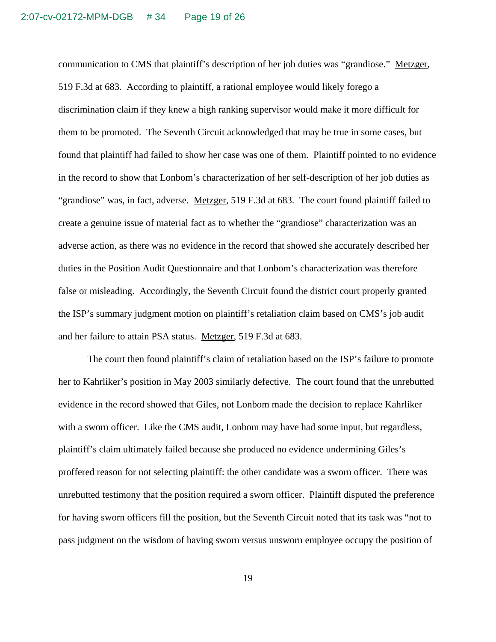communication to CMS that plaintiff's description of her job duties was "grandiose." Metzger, 519 F.3d at 683. According to plaintiff, a rational employee would likely forego a discrimination claim if they knew a high ranking supervisor would make it more difficult for them to be promoted. The Seventh Circuit acknowledged that may be true in some cases, but found that plaintiff had failed to show her case was one of them. Plaintiff pointed to no evidence in the record to show that Lonbom's characterization of her self-description of her job duties as "grandiose" was, in fact, adverse. Metzger, 519 F.3d at 683. The court found plaintiff failed to create a genuine issue of material fact as to whether the "grandiose" characterization was an adverse action, as there was no evidence in the record that showed she accurately described her duties in the Position Audit Questionnaire and that Lonbom's characterization was therefore false or misleading. Accordingly, the Seventh Circuit found the district court properly granted the ISP's summary judgment motion on plaintiff's retaliation claim based on CMS's job audit and her failure to attain PSA status. Metzger, 519 F.3d at 683.

The court then found plaintiff's claim of retaliation based on the ISP's failure to promote her to Kahrliker's position in May 2003 similarly defective. The court found that the unrebutted evidence in the record showed that Giles, not Lonbom made the decision to replace Kahrliker with a sworn officer. Like the CMS audit, Lonbom may have had some input, but regardless, plaintiff's claim ultimately failed because she produced no evidence undermining Giles's proffered reason for not selecting plaintiff: the other candidate was a sworn officer. There was unrebutted testimony that the position required a sworn officer. Plaintiff disputed the preference for having sworn officers fill the position, but the Seventh Circuit noted that its task was "not to pass judgment on the wisdom of having sworn versus unsworn employee occupy the position of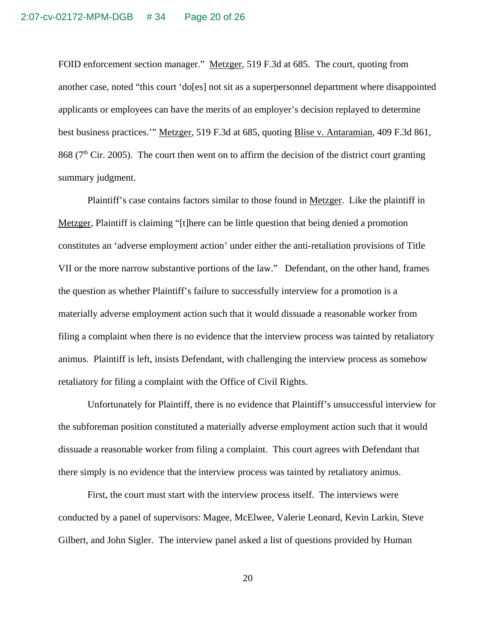FOID enforcement section manager." Metzger, 519 F.3d at 685. The court, quoting from another case, noted "this court 'do[es] not sit as a superpersonnel department where disappointed applicants or employees can have the merits of an employer's decision replayed to determine best business practices.'" Metzger, 519 F.3d at 685, quoting Blise v. Antaramian, 409 F.3d 861, 868 ( $7<sup>th</sup>$  Cir. 2005). The court then went on to affirm the decision of the district court granting summary judgment.

Plaintiff's case contains factors similar to those found in Metzger. Like the plaintiff in Metzger, Plaintiff is claiming "[t]here can be little question that being denied a promotion constitutes an 'adverse employment action' under either the anti-retaliation provisions of Title VII or the more narrow substantive portions of the law." Defendant, on the other hand, frames the question as whether Plaintiff's failure to successfully interview for a promotion is a materially adverse employment action such that it would dissuade a reasonable worker from filing a complaint when there is no evidence that the interview process was tainted by retaliatory animus. Plaintiff is left, insists Defendant, with challenging the interview process as somehow retaliatory for filing a complaint with the Office of Civil Rights.

Unfortunately for Plaintiff, there is no evidence that Plaintiff's unsuccessful interview for the subforeman position constituted a materially adverse employment action such that it would dissuade a reasonable worker from filing a complaint. This court agrees with Defendant that there simply is no evidence that the interview process was tainted by retaliatory animus.

First, the court must start with the interview process itself. The interviews were conducted by a panel of supervisors: Magee, McElwee, Valerie Leonard, Kevin Larkin, Steve Gilbert, and John Sigler. The interview panel asked a list of questions provided by Human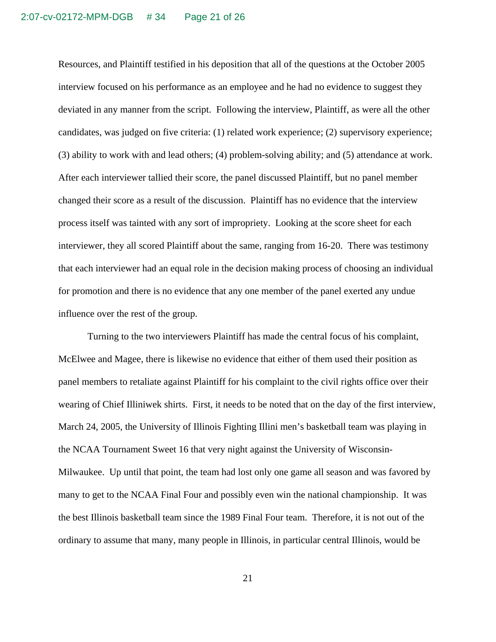Resources, and Plaintiff testified in his deposition that all of the questions at the October 2005 interview focused on his performance as an employee and he had no evidence to suggest they deviated in any manner from the script. Following the interview, Plaintiff, as were all the other candidates, was judged on five criteria: (1) related work experience; (2) supervisory experience; (3) ability to work with and lead others; (4) problem-solving ability; and (5) attendance at work. After each interviewer tallied their score, the panel discussed Plaintiff, but no panel member changed their score as a result of the discussion. Plaintiff has no evidence that the interview process itself was tainted with any sort of impropriety. Looking at the score sheet for each interviewer, they all scored Plaintiff about the same, ranging from 16-20. There was testimony that each interviewer had an equal role in the decision making process of choosing an individual for promotion and there is no evidence that any one member of the panel exerted any undue influence over the rest of the group.

Turning to the two interviewers Plaintiff has made the central focus of his complaint, McElwee and Magee, there is likewise no evidence that either of them used their position as panel members to retaliate against Plaintiff for his complaint to the civil rights office over their wearing of Chief Illiniwek shirts. First, it needs to be noted that on the day of the first interview, March 24, 2005, the University of Illinois Fighting Illini men's basketball team was playing in the NCAA Tournament Sweet 16 that very night against the University of Wisconsin-Milwaukee. Up until that point, the team had lost only one game all season and was favored by many to get to the NCAA Final Four and possibly even win the national championship. It was the best Illinois basketball team since the 1989 Final Four team. Therefore, it is not out of the ordinary to assume that many, many people in Illinois, in particular central Illinois, would be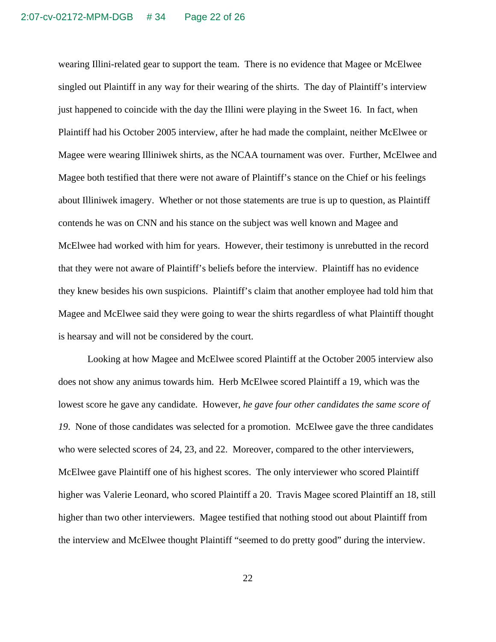wearing Illini-related gear to support the team. There is no evidence that Magee or McElwee singled out Plaintiff in any way for their wearing of the shirts. The day of Plaintiff's interview just happened to coincide with the day the Illini were playing in the Sweet 16. In fact, when Plaintiff had his October 2005 interview, after he had made the complaint, neither McElwee or Magee were wearing Illiniwek shirts, as the NCAA tournament was over. Further, McElwee and Magee both testified that there were not aware of Plaintiff's stance on the Chief or his feelings about Illiniwek imagery. Whether or not those statements are true is up to question, as Plaintiff contends he was on CNN and his stance on the subject was well known and Magee and McElwee had worked with him for years. However, their testimony is unrebutted in the record that they were not aware of Plaintiff's beliefs before the interview. Plaintiff has no evidence they knew besides his own suspicions. Plaintiff's claim that another employee had told him that Magee and McElwee said they were going to wear the shirts regardless of what Plaintiff thought is hearsay and will not be considered by the court.

Looking at how Magee and McElwee scored Plaintiff at the October 2005 interview also does not show any animus towards him. Herb McElwee scored Plaintiff a 19, which was the lowest score he gave any candidate. However, *he gave four other candidates the same score of* 19. None of those candidates was selected for a promotion. McElwee gave the three candidates who were selected scores of 24, 23, and 22. Moreover, compared to the other interviewers, McElwee gave Plaintiff one of his highest scores. The only interviewer who scored Plaintiff higher was Valerie Leonard, who scored Plaintiff a 20. Travis Magee scored Plaintiff an 18, still higher than two other interviewers. Magee testified that nothing stood out about Plaintiff from the interview and McElwee thought Plaintiff "seemed to do pretty good" during the interview.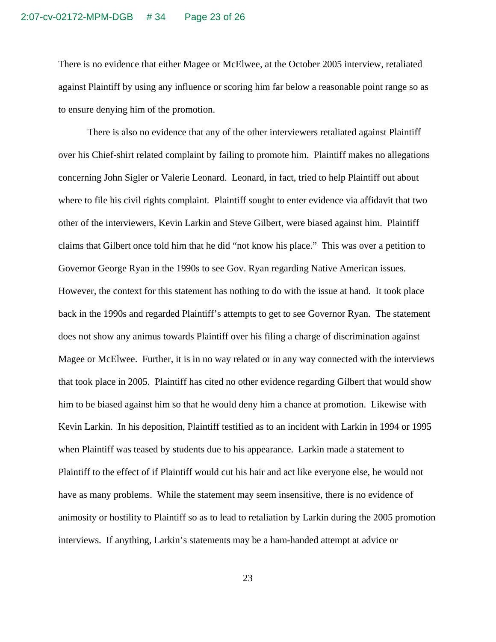There is no evidence that either Magee or McElwee, at the October 2005 interview, retaliated against Plaintiff by using any influence or scoring him far below a reasonable point range so as to ensure denying him of the promotion.

There is also no evidence that any of the other interviewers retaliated against Plaintiff over his Chief-shirt related complaint by failing to promote him. Plaintiff makes no allegations concerning John Sigler or Valerie Leonard. Leonard, in fact, tried to help Plaintiff out about where to file his civil rights complaint. Plaintiff sought to enter evidence via affidavit that two other of the interviewers, Kevin Larkin and Steve Gilbert, were biased against him. Plaintiff claims that Gilbert once told him that he did "not know his place." This was over a petition to Governor George Ryan in the 1990s to see Gov. Ryan regarding Native American issues. However, the context for this statement has nothing to do with the issue at hand. It took place back in the 1990s and regarded Plaintiff's attempts to get to see Governor Ryan. The statement does not show any animus towards Plaintiff over his filing a charge of discrimination against Magee or McElwee. Further, it is in no way related or in any way connected with the interviews that took place in 2005. Plaintiff has cited no other evidence regarding Gilbert that would show him to be biased against him so that he would deny him a chance at promotion. Likewise with Kevin Larkin. In his deposition, Plaintiff testified as to an incident with Larkin in 1994 or 1995 when Plaintiff was teased by students due to his appearance. Larkin made a statement to Plaintiff to the effect of if Plaintiff would cut his hair and act like everyone else, he would not have as many problems. While the statement may seem insensitive, there is no evidence of animosity or hostility to Plaintiff so as to lead to retaliation by Larkin during the 2005 promotion interviews. If anything, Larkin's statements may be a ham-handed attempt at advice or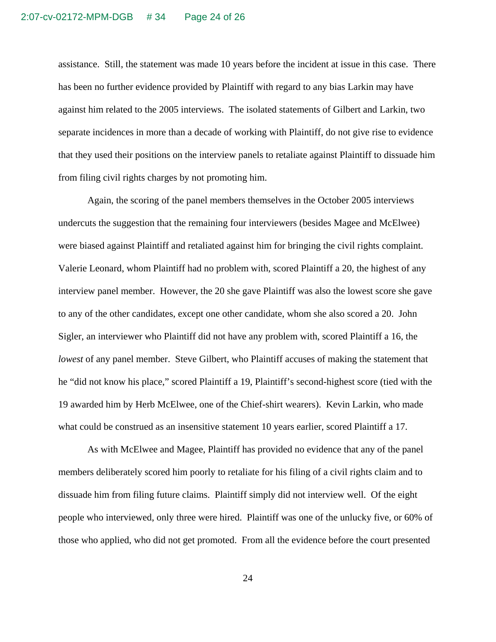assistance. Still, the statement was made 10 years before the incident at issue in this case. There has been no further evidence provided by Plaintiff with regard to any bias Larkin may have against him related to the 2005 interviews. The isolated statements of Gilbert and Larkin, two separate incidences in more than a decade of working with Plaintiff, do not give rise to evidence that they used their positions on the interview panels to retaliate against Plaintiff to dissuade him from filing civil rights charges by not promoting him.

Again, the scoring of the panel members themselves in the October 2005 interviews undercuts the suggestion that the remaining four interviewers (besides Magee and McElwee) were biased against Plaintiff and retaliated against him for bringing the civil rights complaint. Valerie Leonard, whom Plaintiff had no problem with, scored Plaintiff a 20, the highest of any interview panel member. However, the 20 she gave Plaintiff was also the lowest score she gave to any of the other candidates, except one other candidate, whom she also scored a 20. John Sigler, an interviewer who Plaintiff did not have any problem with, scored Plaintiff a 16, the *lowest* of any panel member. Steve Gilbert, who Plaintiff accuses of making the statement that he "did not know his place," scored Plaintiff a 19, Plaintiff's second-highest score (tied with the 19 awarded him by Herb McElwee, one of the Chief-shirt wearers). Kevin Larkin, who made what could be construed as an insensitive statement 10 years earlier, scored Plaintiff a 17.

As with McElwee and Magee, Plaintiff has provided no evidence that any of the panel members deliberately scored him poorly to retaliate for his filing of a civil rights claim and to dissuade him from filing future claims. Plaintiff simply did not interview well. Of the eight people who interviewed, only three were hired. Plaintiff was one of the unlucky five, or 60% of those who applied, who did not get promoted. From all the evidence before the court presented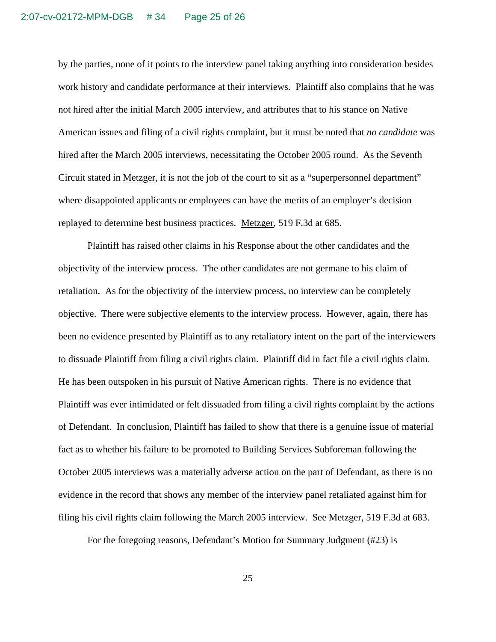by the parties, none of it points to the interview panel taking anything into consideration besides work history and candidate performance at their interviews. Plaintiff also complains that he was not hired after the initial March 2005 interview, and attributes that to his stance on Native American issues and filing of a civil rights complaint, but it must be noted that *no candidate* was hired after the March 2005 interviews, necessitating the October 2005 round. As the Seventh Circuit stated in Metzger, it is not the job of the court to sit as a "superpersonnel department" where disappointed applicants or employees can have the merits of an employer's decision replayed to determine best business practices. Metzger, 519 F.3d at 685.

Plaintiff has raised other claims in his Response about the other candidates and the objectivity of the interview process. The other candidates are not germane to his claim of retaliation. As for the objectivity of the interview process, no interview can be completely objective. There were subjective elements to the interview process. However, again, there has been no evidence presented by Plaintiff as to any retaliatory intent on the part of the interviewers to dissuade Plaintiff from filing a civil rights claim. Plaintiff did in fact file a civil rights claim. He has been outspoken in his pursuit of Native American rights. There is no evidence that Plaintiff was ever intimidated or felt dissuaded from filing a civil rights complaint by the actions of Defendant. In conclusion, Plaintiff has failed to show that there is a genuine issue of material fact as to whether his failure to be promoted to Building Services Subforeman following the October 2005 interviews was a materially adverse action on the part of Defendant, as there is no evidence in the record that shows any member of the interview panel retaliated against him for filing his civil rights claim following the March 2005 interview. See Metzger, 519 F.3d at 683.

For the foregoing reasons, Defendant's Motion for Summary Judgment (#23) is